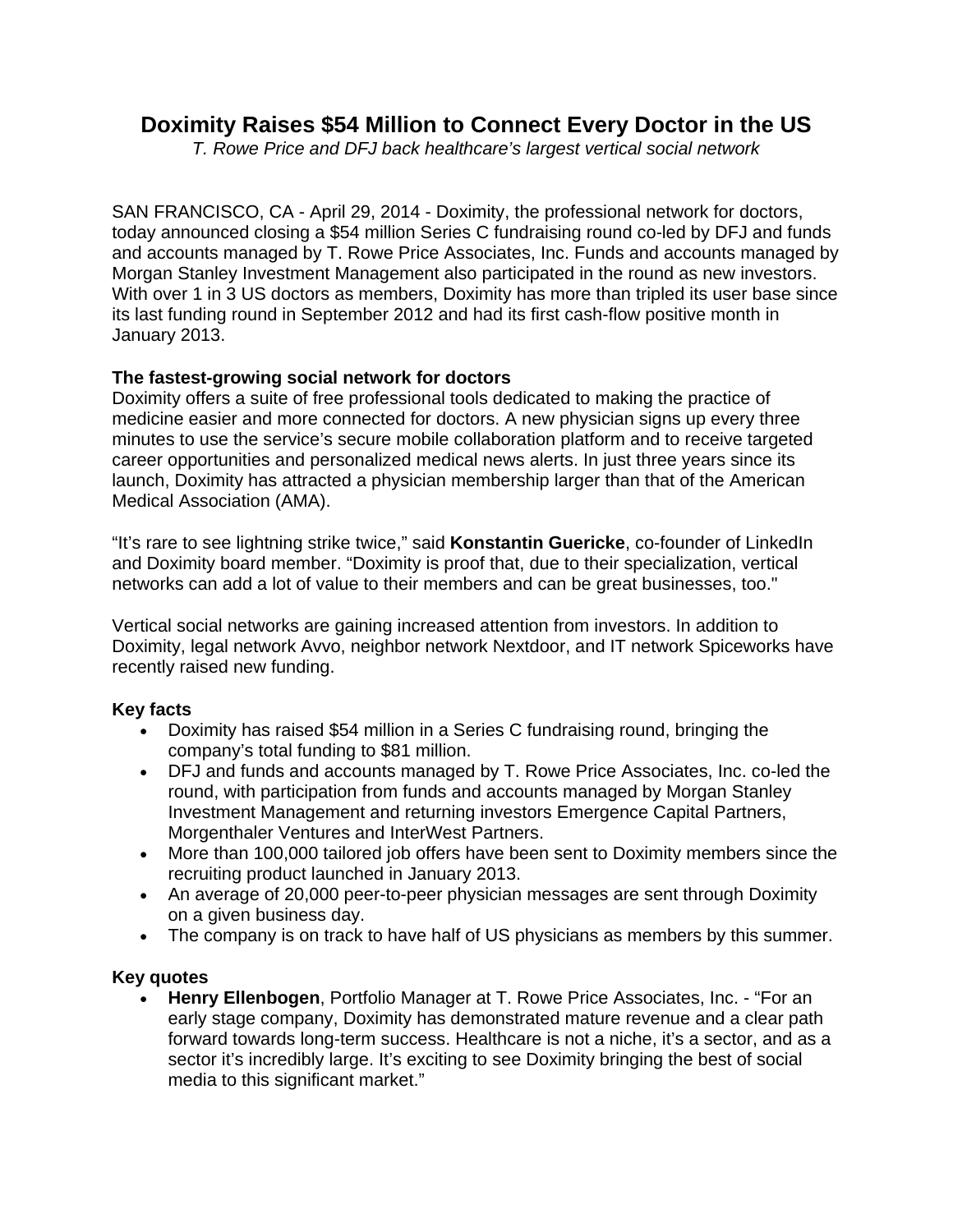# **Doximity Raises \$54 Million to Connect Every Doctor in the US**

*T. Rowe Price and DFJ back healthcare's largest vertical social network* 

SAN FRANCISCO, CA - April 29, 2014 - Doximity, the professional network for doctors, today announced closing a \$54 million Series C fundraising round co-led by DFJ and funds and accounts managed by T. Rowe Price Associates, Inc. Funds and accounts managed by Morgan Stanley Investment Management also participated in the round as new investors. With over 1 in 3 US doctors as members, Doximity has more than tripled its user base since its last funding round in September 2012 and had its first cash-flow positive month in January 2013.

## **The fastest-growing social network for doctors**

Doximity offers a suite of free professional tools dedicated to making the practice of medicine easier and more connected for doctors. A new physician signs up every three minutes to use the service's secure mobile collaboration platform and to receive targeted career opportunities and personalized medical news alerts. In just three years since its launch, Doximity has attracted a physician membership larger than that of the American Medical Association (AMA).

"It's rare to see lightning strike twice," said **Konstantin Guericke**, co-founder of LinkedIn and Doximity board member. "Doximity is proof that, due to their specialization, vertical networks can add a lot of value to their members and can be great businesses, too."

Vertical social networks are gaining increased attention from investors. In addition to Doximity, legal network Avvo, neighbor network Nextdoor, and IT network Spiceworks have recently raised new funding.

## **Key facts**

- Doximity has raised \$54 million in a Series C fundraising round, bringing the company's total funding to \$81 million.
- DFJ and funds and accounts managed by T. Rowe Price Associates, Inc. co-led the round, with participation from funds and accounts managed by Morgan Stanley Investment Management and returning investors Emergence Capital Partners, Morgenthaler Ventures and InterWest Partners.
- More than 100,000 tailored job offers have been sent to Doximity members since the recruiting product launched in January 2013.
- An average of 20,000 peer-to-peer physician messages are sent through Doximity on a given business day.
- The company is on track to have half of US physicians as members by this summer.

## **Key quotes**

 **Henry Ellenbogen**, Portfolio Manager at T. Rowe Price Associates, Inc. - "For an early stage company, Doximity has demonstrated mature revenue and a clear path forward towards long-term success. Healthcare is not a niche, it's a sector, and as a sector it's incredibly large. It's exciting to see Doximity bringing the best of social media to this significant market."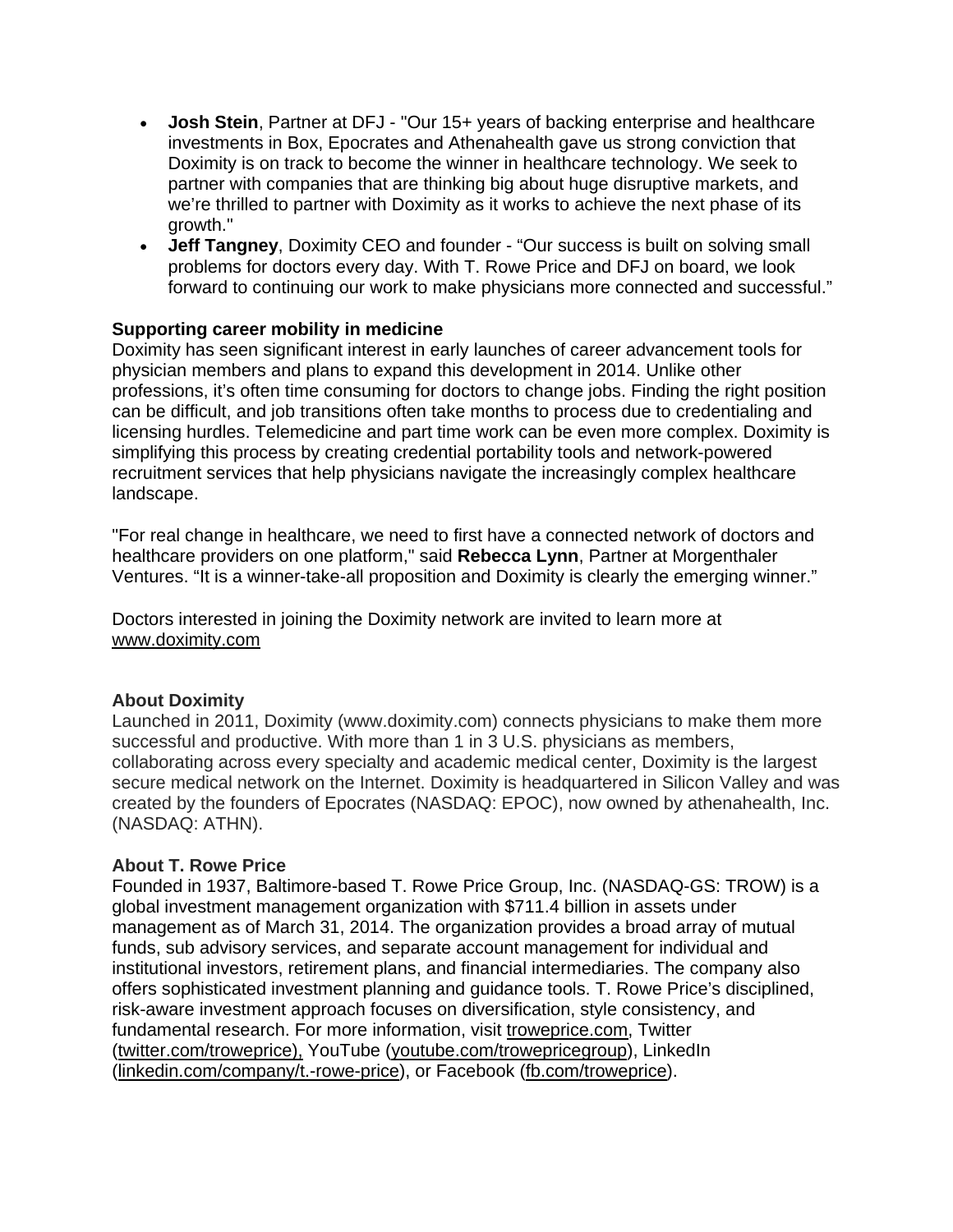- **Josh Stein**, Partner at DFJ "Our 15+ years of backing enterprise and healthcare investments in Box, Epocrates and Athenahealth gave us strong conviction that Doximity is on track to become the winner in healthcare technology. We seek to partner with companies that are thinking big about huge disruptive markets, and we're thrilled to partner with Doximity as it works to achieve the next phase of its growth."
- **Jeff Tangney**, Doximity CEO and founder "Our success is built on solving small problems for doctors every day. With T. Rowe Price and DFJ on board, we look forward to continuing our work to make physicians more connected and successful."

### **Supporting career mobility in medicine**

Doximity has seen significant interest in early launches of career advancement tools for physician members and plans to expand this development in 2014. Unlike other professions, it's often time consuming for doctors to change jobs. Finding the right position can be difficult, and job transitions often take months to process due to credentialing and licensing hurdles. Telemedicine and part time work can be even more complex. Doximity is simplifying this process by creating credential portability tools and network-powered recruitment services that help physicians navigate the increasingly complex healthcare landscape.

"For real change in healthcare, we need to first have a connected network of doctors and healthcare providers on one platform," said **Rebecca Lynn**, Partner at Morgenthaler Ventures. "It is a winner-take-all proposition and Doximity is clearly the emerging winner."

Doctors interested in joining the Doximity network are invited to learn more at www.doximity.com

## **About Doximity**

Launched in 2011, Doximity (www.doximity.com) connects physicians to make them more successful and productive. With more than 1 in 3 U.S. physicians as members, collaborating across every specialty and academic medical center, Doximity is the largest secure medical network on the Internet. Doximity is headquartered in Silicon Valley and was created by the founders of Epocrates (NASDAQ: EPOC), now owned by athenahealth, Inc. (NASDAQ: ATHN).

## **About T. Rowe Price**

Founded in 1937, Baltimore-based T. Rowe Price Group, Inc. (NASDAQ-GS: TROW) is a global investment management organization with \$711.4 billion in assets under management as of March 31, 2014. The organization provides a broad array of mutual funds, sub advisory services, and separate account management for individual and institutional investors, retirement plans, and financial intermediaries. The company also offers sophisticated investment planning and guidance tools. T. Rowe Price's disciplined, risk-aware investment approach focuses on diversification, style consistency, and fundamental research. For more information, visit troweprice.com, Twitter (twitter.com/troweprice), YouTube (youtube.com/trowepricegroup), LinkedIn (linkedin.com/company/t.-rowe-price), or Facebook (fb.com/troweprice).